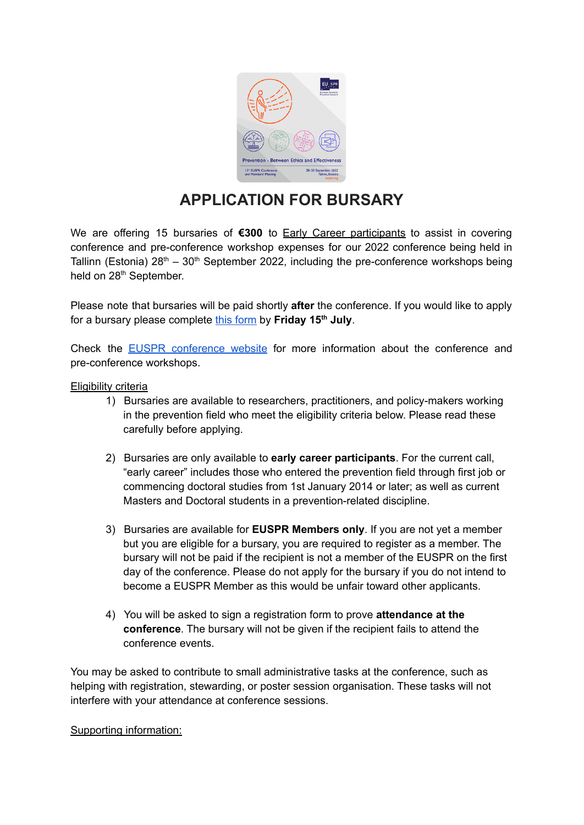

## **APPLICATION FOR BURSARY**

We are offering 15 bursaries of **€300** to Early Career participants to assist in covering conference and pre-conference workshop expenses for our 2022 conference being held in Tallinn (Estonia)  $28<sup>th</sup> - 30<sup>th</sup>$  September 2022, including the pre-conference workshops being held on 28<sup>th</sup> September.

Please note that bursaries will be paid shortly **after** the conference. If you would like to apply for a bursary please complete **this [form](https://forms.gle/avCU7ASMSWwmxg4m7)** by Friday 15<sup>th</sup> July.

Check the EUSPR [conference](https://euspr.org/euspr-2022-conference/) website for more information about the conference and pre-conference workshops.

## Eligibility criteria

- 1) Bursaries are available to researchers, practitioners, and policy-makers working in the prevention field who meet the eligibility criteria below. Please read these carefully before applying.
- 2) Bursaries are only available to **early career participants**. For the current call, "early career" includes those who entered the prevention field through first job or commencing doctoral studies from 1st January 2014 or later; as well as current Masters and Doctoral students in a prevention-related discipline.
- 3) Bursaries are available for **EUSPR Members only**. If you are not yet a member but you are eligible for a bursary, you are required to register as a member. The bursary will not be paid if the recipient is not a member of the EUSPR on the first day of the conference. Please do not apply for the bursary if you do not intend to become a EUSPR Member as this would be unfair toward other applicants.
- 4) You will be asked to sign a registration form to prove **attendance at the conference**. The bursary will not be given if the recipient fails to attend the conference events.

You may be asked to contribute to small administrative tasks at the conference, such as helping with registration, stewarding, or poster session organisation. These tasks will not interfere with your attendance at conference sessions.

Supporting information: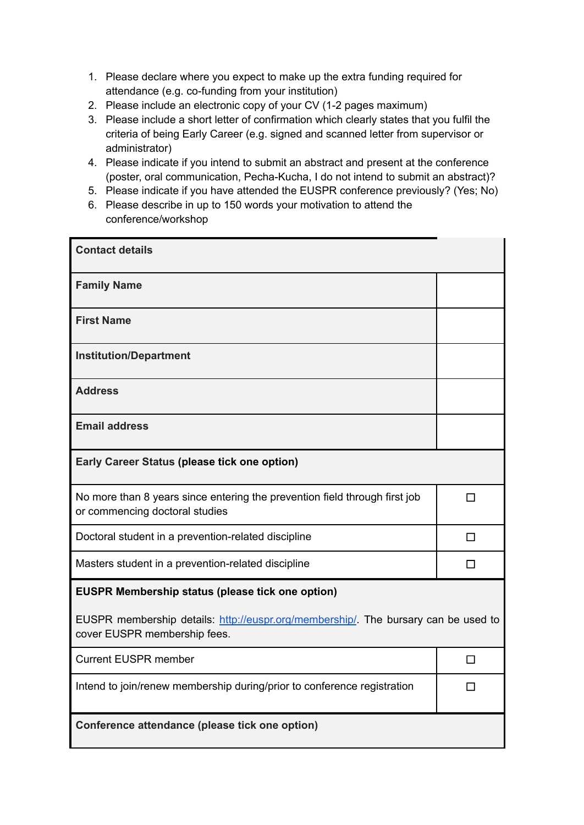- 1. Please declare where you expect to make up the extra funding required for attendance (e.g. co-funding from your institution)
- 2. Please include an electronic copy of your CV (1-2 pages maximum)
- 3. Please include a short letter of confirmation which clearly states that you fulfil the criteria of being Early Career (e.g. signed and scanned letter from supervisor or administrator)
- 4. Please indicate if you intend to submit an abstract and present at the conference (poster, oral communication, Pecha-Kucha, I do not intend to submit an abstract)?
- 5. Please indicate if you have attended the EUSPR conference previously? (Yes; No)
- 6. Please describe in up to 150 words your motivation to attend the conference/workshop

| <b>Contact details</b>                                                                                             |        |  |
|--------------------------------------------------------------------------------------------------------------------|--------|--|
| <b>Family Name</b>                                                                                                 |        |  |
| <b>First Name</b>                                                                                                  |        |  |
| <b>Institution/Department</b>                                                                                      |        |  |
| <b>Address</b>                                                                                                     |        |  |
| <b>Email address</b>                                                                                               |        |  |
| Early Career Status (please tick one option)                                                                       |        |  |
| No more than 8 years since entering the prevention field through first job<br>or commencing doctoral studies       | $\Box$ |  |
| Doctoral student in a prevention-related discipline                                                                | □      |  |
| Masters student in a prevention-related discipline                                                                 | П      |  |
| EUSPR Membership status (please tick one option)                                                                   |        |  |
| EUSPR membership details: http://euspr.org/membership/. The bursary can be used to<br>cover EUSPR membership fees. |        |  |
| <b>Current EUSPR member</b>                                                                                        | □      |  |
| Intend to join/renew membership during/prior to conference registration                                            | П      |  |
| Conference attendance (please tick one option)                                                                     |        |  |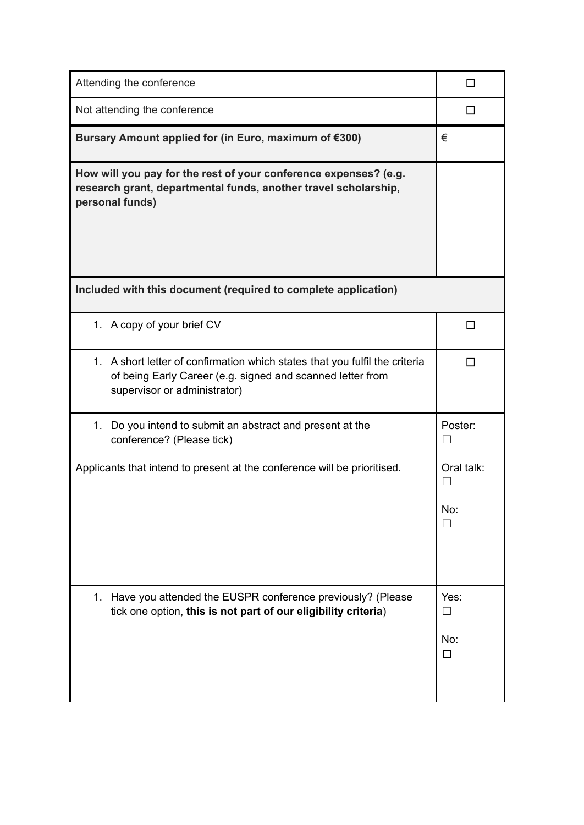| Attending the conference                                                                                                                                                  |                                  |
|---------------------------------------------------------------------------------------------------------------------------------------------------------------------------|----------------------------------|
| Not attending the conference                                                                                                                                              | П                                |
| Bursary Amount applied for (in Euro, maximum of €300)                                                                                                                     | €                                |
| How will you pay for the rest of your conference expenses? (e.g.<br>research grant, departmental funds, another travel scholarship,<br>personal funds)                    |                                  |
| Included with this document (required to complete application)                                                                                                            |                                  |
| 1. A copy of your brief CV                                                                                                                                                | П                                |
| 1. A short letter of confirmation which states that you fulfil the criteria<br>of being Early Career (e.g. signed and scanned letter from<br>supervisor or administrator) |                                  |
| 1. Do you intend to submit an abstract and present at the<br>conference? (Please tick)                                                                                    | Poster:<br>$\perp$               |
| Applicants that intend to present at the conference will be prioritised.                                                                                                  | Oral talk:<br>No:                |
| 1. Have you attended the EUSPR conference previously? (Please<br>tick one option, this is not part of our eligibility criteria)                                           | Yes:<br>$\perp$<br>No:<br>$\Box$ |